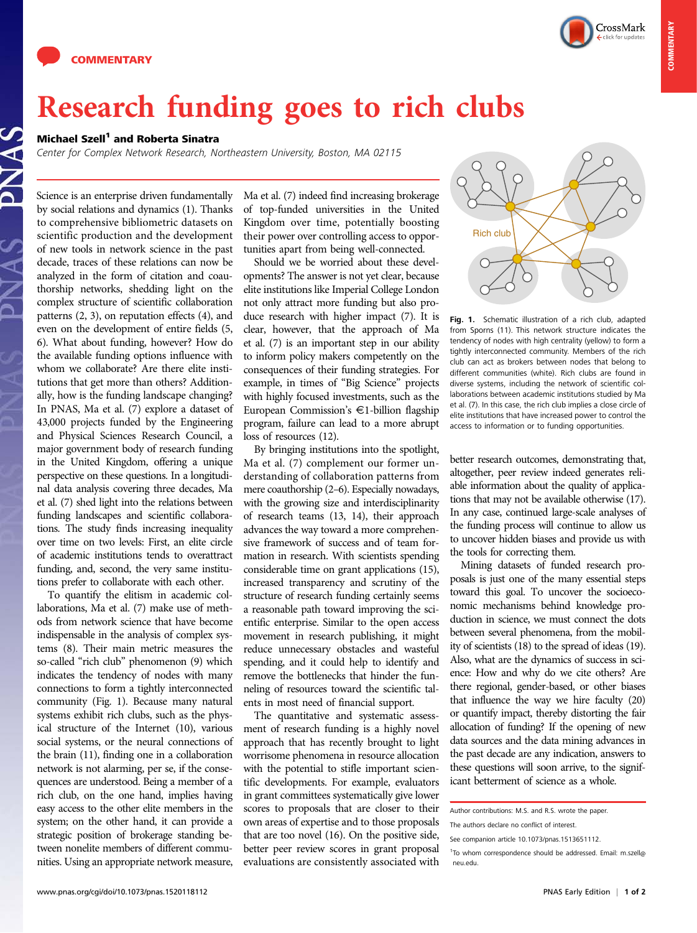



## Research funding goes to rich clubs

## Michael Szell<sup>1</sup> and Roberta Sinatra

Center for Complex Network Research, Northeastern University, Boston, MA 02115

Science is an enterprise driven fundamentally by social relations and dynamics (1). Thanks to comprehensive bibliometric datasets on scientific production and the development of new tools in network science in the past decade, traces of these relations can now be analyzed in the form of citation and coauthorship networks, shedding light on the complex structure of scientific collaboration patterns (2, 3), on reputation effects (4), and even on the development of entire fields (5, 6). What about funding, however? How do the available funding options influence with whom we collaborate? Are there elite institutions that get more than others? Additionally, how is the funding landscape changing? In PNAS, Ma et al. (7) explore a dataset of 43,000 projects funded by the Engineering and Physical Sciences Research Council, a major government body of research funding in the United Kingdom, offering a unique perspective on these questions. In a longitudinal data analysis covering three decades, Ma et al. (7) shed light into the relations between funding landscapes and scientific collaborations. The study finds increasing inequality over time on two levels: First, an elite circle of academic institutions tends to overattract funding, and, second, the very same institutions prefer to collaborate with each other.

To quantify the elitism in academic collaborations, Ma et al. (7) make use of methods from network science that have become indispensable in the analysis of complex systems (8). Their main metric measures the so-called "rich club" phenomenon (9) which indicates the tendency of nodes with many connections to form a tightly interconnected community (Fig. 1). Because many natural systems exhibit rich clubs, such as the physical structure of the Internet (10), various social systems, or the neural connections of the brain (11), finding one in a collaboration network is not alarming, per se, if the consequences are understood. Being a member of a rich club, on the one hand, implies having easy access to the other elite members in the system; on the other hand, it can provide a strategic position of brokerage standing between nonelite members of different communities. Using an appropriate network measure,

Ma et al. (7) indeed find increasing brokerage of top-funded universities in the United Kingdom over time, potentially boosting their power over controlling access to opportunities apart from being well-connected.

Should we be worried about these developments? The answer is not yet clear, because elite institutions like Imperial College London not only attract more funding but also produce research with higher impact (7). It is clear, however, that the approach of Ma et al. (7) is an important step in our ability to inform policy makers competently on the consequences of their funding strategies. For example, in times of "Big Science" projects with highly focused investments, such as the European Commission's  $\in$ 1-billion flagship program, failure can lead to a more abrupt loss of resources (12).

By bringing institutions into the spotlight, Ma et al. (7) complement our former understanding of collaboration patterns from mere coauthorship (2–6). Especially nowadays, with the growing size and interdisciplinarity of research teams (13, 14), their approach advances the way toward a more comprehensive framework of success and of team formation in research. With scientists spending considerable time on grant applications (15), increased transparency and scrutiny of the structure of research funding certainly seems a reasonable path toward improving the scientific enterprise. Similar to the open access movement in research publishing, it might reduce unnecessary obstacles and wasteful spending, and it could help to identify and remove the bottlenecks that hinder the funneling of resources toward the scientific talents in most need of financial support.

The quantitative and systematic assessment of research funding is a highly novel approach that has recently brought to light worrisome phenomena in resource allocation with the potential to stifle important scientific developments. For example, evaluators in grant committees systematically give lower scores to proposals that are closer to their own areas of expertise and to those proposals that are too novel (16). On the positive side, better peer review scores in grant proposal evaluations are consistently associated with



Fig. 1. Schematic illustration of a rich club, adapted from Sporns (11). This network structure indicates the tendency of nodes with high centrality (yellow) to form a tightly interconnected community. Members of the rich club can act as brokers between nodes that belong to different communities (white). Rich clubs are found in diverse systems, including the network of scientific collaborations between academic institutions studied by Ma et al. (7). In this case, the rich club implies a close circle of elite institutions that have increased power to control the access to information or to funding opportunities.

better research outcomes, demonstrating that, altogether, peer review indeed generates reliable information about the quality of applications that may not be available otherwise (17). In any case, continued large-scale analyses of the funding process will continue to allow us to uncover hidden biases and provide us with the tools for correcting them.

Mining datasets of funded research proposals is just one of the many essential steps toward this goal. To uncover the socioeconomic mechanisms behind knowledge production in science, we must connect the dots between several phenomena, from the mobility of scientists (18) to the spread of ideas (19). Also, what are the dynamics of success in science: How and why do we cite others? Are there regional, gender-based, or other biases that influence the way we hire faculty (20) or quantify impact, thereby distorting the fair allocation of funding? If the opening of new data sources and the data mining advances in the past decade are any indication, answers to these questions will soon arrive, to the significant betterment of science as a whole.

Author contributions: M.S. and R.S. wrote the paper.

The authors declare no conflict of interest.

See companion article 10.1073/pnas.1513651112.

<sup>&</sup>lt;sup>1</sup>To whom correspondence should be addressed. Email: [m.szell@](mailto:m.szell@neu.edu) [neu.edu](mailto:m.szell@neu.edu).